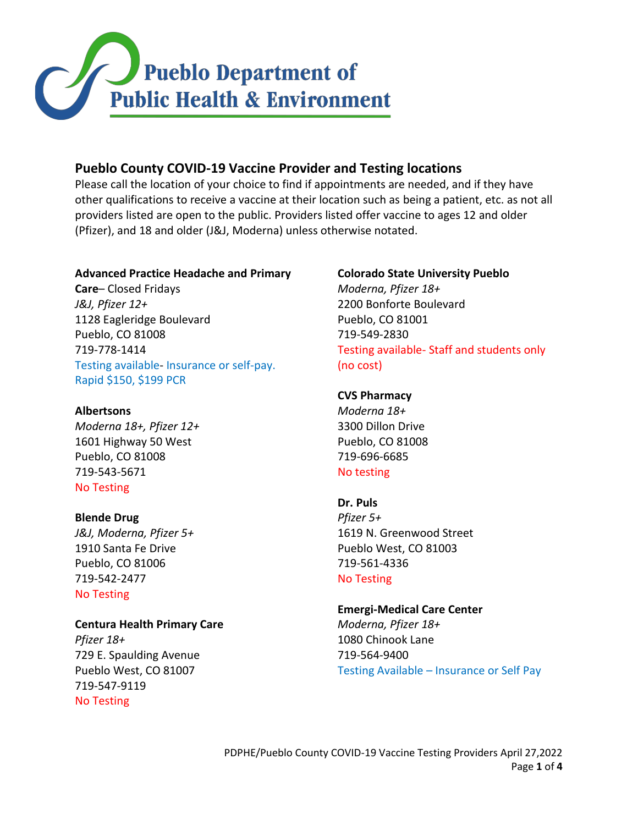

## **Pueblo County COVID-19 Vaccine Provider and Testing locations**

Please call the location of your choice to find if appointments are needed, and if they have other qualifications to receive a vaccine at their location such as being a patient, etc. as not all providers listed are open to the public. Providers listed offer vaccine to ages 12 and older (Pfizer), and 18 and older (J&J, Moderna) unless otherwise notated.

## **Advanced Practice Headache and Primary**

**Care**– Closed Fridays *J&J, Pfizer 12+* 1128 Eagleridge Boulevard Pueblo, CO 81008 719-778-1414 Testing available- Insurance or self-pay. Rapid \$150, \$199 PCR

**Albertsons** *Moderna 18+, Pfizer 12+* 1601 Highway 50 West Pueblo, CO 81008 719-543-5671 No Testing

#### **Blende Drug**

*J&J, Moderna, Pfizer 5+* 1910 Santa Fe Drive Pueblo, CO 81006 719-542-2477 No Testing

# **Centura Health Primary Care**

*Pfizer 18+* 729 E. Spaulding Avenue Pueblo West, CO 81007 719-547-9119 No Testing

## **Colorado State University Pueblo**

*Moderna, Pfizer 18+* 2200 Bonforte Boulevard Pueblo, CO 81001 719-549-2830 Testing available- Staff and students only (no cost)

## **CVS Pharmacy**

*Moderna 18+* 3300 Dillon Drive Pueblo, CO 81008 719-696-6685 No testing

## **Dr. Puls**

*Pfizer 5+* 1619 N. Greenwood Street Pueblo West, CO 81003 719-561-4336 No Testing

## **Emergi-Medical Care Center**

*Moderna, Pfizer 18+* 1080 Chinook Lane 719-564-9400 Testing Available – Insurance or Self Pay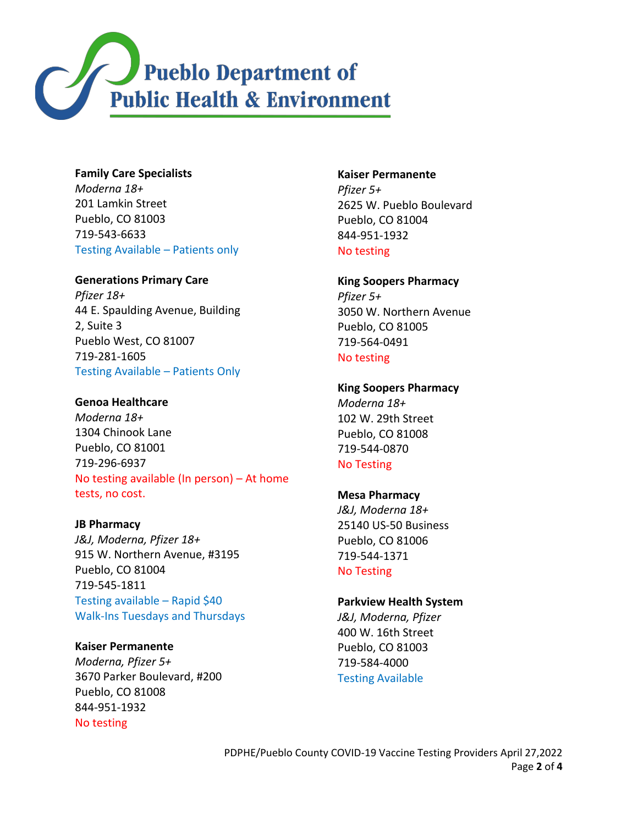

**Family Care Specialists** *Moderna 18+* 201 Lamkin Street Pueblo, CO 81003 719-543-6633 Testing Available – Patients only

## **Generations Primary Care**

*Pfizer 18+* 44 E. Spaulding Avenue, Building 2, Suite 3 Pueblo West, CO 81007 719-281-1605 Testing Available – Patients Only

## **Genoa Healthcare**

*Moderna 18+* 1304 Chinook Lane Pueblo, CO 81001 719-296-6937 No testing available (In person) – At home tests, no cost.

#### **JB Pharmacy**

*J&J, Moderna, Pfizer 18+* 915 W. Northern Avenue, #3195 Pueblo, CO 81004 719-545-1811 Testing available – Rapid \$40 Walk-Ins Tuesdays and Thursdays

## **Kaiser Permanente**

*Moderna, Pfizer 5+* 3670 Parker Boulevard, #200 Pueblo, CO 81008 844-951-1932 No testing

**Kaiser Permanente** *Pfizer 5+* 2625 W. Pueblo Boulevard Pueblo, CO 81004 844-951-1932 No testing

#### **King Soopers Pharmacy**

*Pfizer 5+* 3050 W. Northern Avenue Pueblo, CO 81005 719-564-0491 No testing

#### **King Soopers Pharmacy**

*Moderna 18+* 102 W. 29th Street Pueblo, CO 81008 719-544-0870 No Testing

#### **Mesa Pharmacy**

*J&J, Moderna 18+* 25140 US-50 Business Pueblo, CO 81006 719-544-1371 No Testing

#### **Parkview Health System**

*J&J, Moderna, Pfizer*  400 W. 16th Street Pueblo, CO 81003 719-584-4000 Testing Available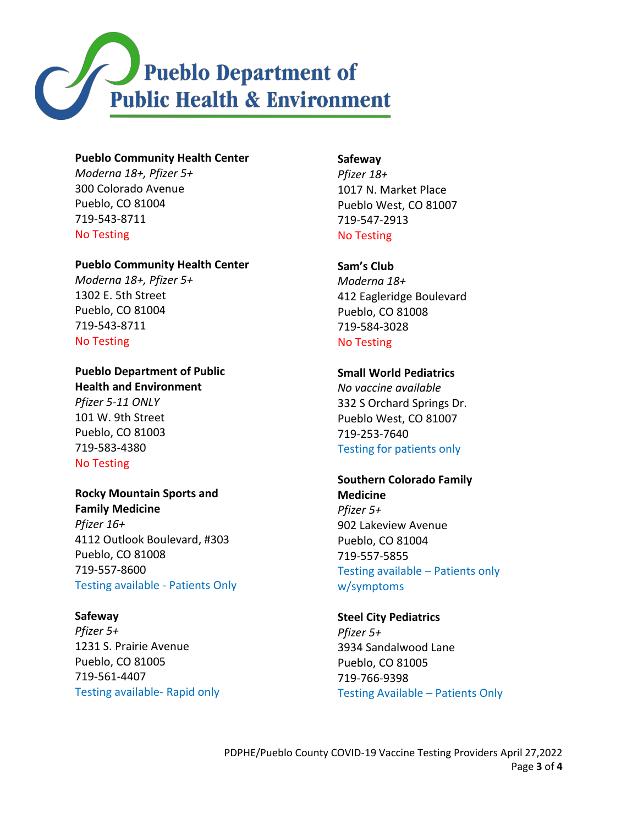

#### **Pueblo Community Health Center**

*Moderna 18+, Pfizer 5+* 300 Colorado Avenue Pueblo, CO 81004 719-543-8711 No Testing

#### **Pueblo Community Health Center**

*Moderna 18+, Pfizer 5+* 1302 E. 5th Street Pueblo, CO 81004 719-543-8711 No Testing

**Pueblo Department of Public Health and Environment** *Pfizer 5-11 ONLY* 101 W. 9th Street Pueblo, CO 81003 719-583-4380 No Testing

**Rocky Mountain Sports and Family Medicine** *Pfizer 16+* 4112 Outlook Boulevard, #303 Pueblo, CO 81008 719-557-8600 Testing available - Patients Only

**Safeway**  *Pfizer 5+*  1231 S. Prairie Avenue Pueblo, CO 81005 719-561-4407 Testing available- Rapid only

#### **Safeway**

*Pfizer 18+* 1017 N. Market Place Pueblo West, CO 81007 719-547-2913 No Testing

**Sam's Club**

*Moderna 18+* 412 Eagleridge Boulevard Pueblo, CO 81008 719-584-3028 No Testing

#### **Small World Pediatrics**

*No vaccine available* 332 S Orchard Springs Dr. Pueblo West, CO 81007 719-253-7640 Testing for patients only

## **Southern Colorado Family**

**Medicine** *Pfizer 5+* 902 Lakeview Avenue Pueblo, CO 81004 719-557-5855 Testing available – Patients only w/symptoms

## **Steel City Pediatrics**

*Pfizer 5+* 3934 Sandalwood Lane Pueblo, CO 81005 719-766-9398 Testing Available – Patients Only